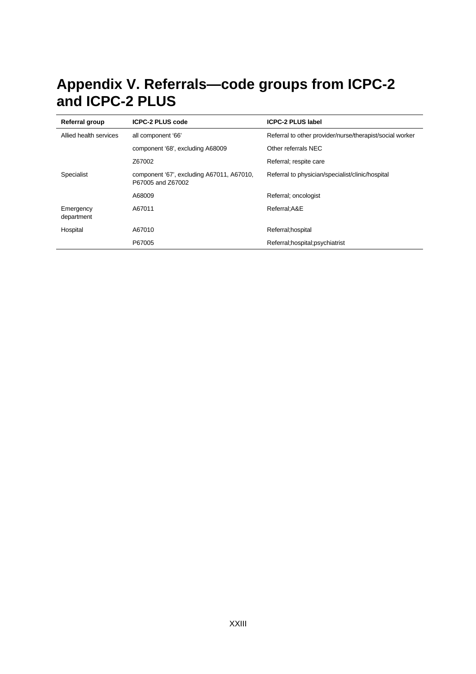# **Appendix V. Referrals—code groups from ICPC-2 and ICPC-2 PLUS**

| Referral group          | <b>ICPC-2 PLUS code</b>                                        | <b>ICPC-2 PLUS label</b>                                 |
|-------------------------|----------------------------------------------------------------|----------------------------------------------------------|
| Allied health services  | all component '66'                                             | Referral to other provider/nurse/therapist/social worker |
|                         | component '68', excluding A68009                               | Other referrals NEC                                      |
|                         | Z67002                                                         | Referral; respite care                                   |
| Specialist              | component '67', excluding A67011, A67010,<br>P67005 and Z67002 | Referral to physician/specialist/clinic/hospital         |
|                         | A68009                                                         | Referral; oncologist                                     |
| Emergency<br>department | A67011                                                         | Referral; A&E                                            |
| Hospital                | A67010                                                         | Referral; hospital                                       |
|                         | P67005                                                         | Referral; hospital; psychiatrist                         |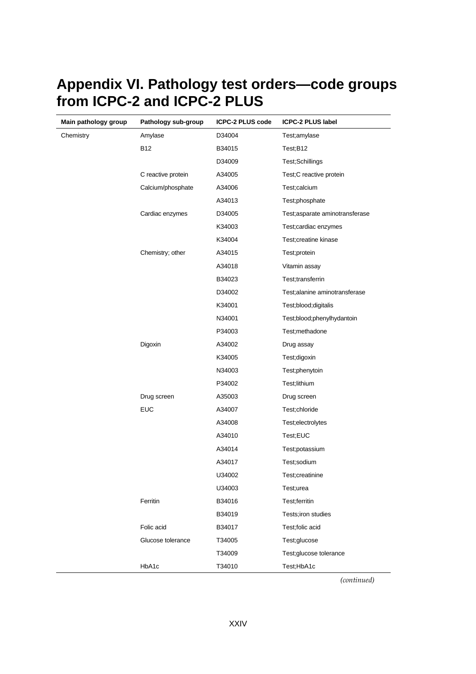| Main pathology group | Pathology sub-group | <b>ICPC-2 PLUS code</b> | <b>ICPC-2 PLUS label</b>       |
|----------------------|---------------------|-------------------------|--------------------------------|
| Chemistry            | Amylase             | D34004                  | Test;amylase                   |
|                      | <b>B12</b>          | B34015                  | Test;B12                       |
|                      |                     | D34009                  | Test;Schillings                |
|                      | C reactive protein  | A34005                  | Test;C reactive protein        |
|                      | Calcium/phosphate   | A34006                  | Test;calcium                   |
|                      |                     | A34013                  | Test;phosphate                 |
|                      | Cardiac enzymes     | D34005                  | Test;asparate aminotransferase |
|                      |                     | K34003                  | Test; cardiac enzymes          |
|                      |                     | K34004                  | Test;creatine kinase           |
|                      | Chemistry; other    | A34015                  | Test;protein                   |
|                      |                     | A34018                  | Vitamin assay                  |
|                      |                     | B34023                  | Test;transferrin               |
|                      |                     | D34002                  | Test;alanine aminotransferase  |
|                      |                     | K34001                  | Test;blood;digitalis           |
|                      |                     | N34001                  | Test;blood;phenylhydantoin     |
|                      |                     | P34003                  | Test;methadone                 |
|                      | Digoxin             | A34002                  | Drug assay                     |
|                      |                     | K34005                  | Test;digoxin                   |
|                      |                     | N34003                  | Test;phenytoin                 |
|                      |                     | P34002                  | Test;lithium                   |
|                      | Drug screen         | A35003                  | Drug screen                    |
|                      | <b>EUC</b>          | A34007                  | Test;chloride                  |
|                      |                     | A34008                  | Test;electrolytes              |
|                      |                     | A34010                  | Test;EUC                       |
|                      |                     | A34014                  | Test;potassium                 |
|                      |                     | A34017                  | Test;sodium                    |
|                      |                     | U34002                  | Test;creatinine                |
|                      |                     | U34003                  | Test;urea                      |
|                      | Ferritin            | B34016                  | Test;ferritin                  |
|                      |                     | B34019                  | Tests;iron studies             |
|                      | Folic acid          | B34017                  | Test;folic acid                |
|                      | Glucose tolerance   | T34005                  | Test;glucose                   |
|                      |                     | T34009                  | Test;glucose tolerance         |
|                      | HbA1c               | T34010                  | Test;HbA1c                     |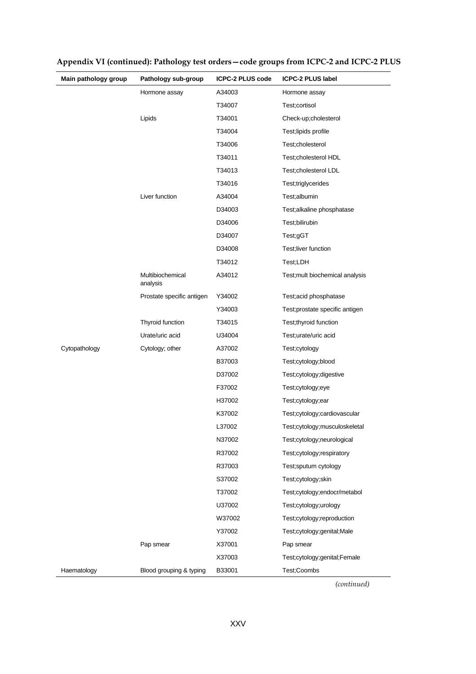| Main pathology group | Pathology sub-group          | <b>ICPC-2 PLUS code</b> | <b>ICPC-2 PLUS label</b>        |
|----------------------|------------------------------|-------------------------|---------------------------------|
|                      | Hormone assay                | A34003                  | Hormone assay                   |
|                      |                              | T34007                  | Test;cortisol                   |
|                      | Lipids                       | T34001                  | Check-up;cholesterol            |
|                      |                              | T34004                  | Test;lipids profile             |
|                      |                              | T34006                  | Test;cholesterol                |
|                      |                              | T34011                  | Test;cholesterol HDL            |
|                      |                              | T34013                  | Test;cholesterol LDL            |
|                      |                              | T34016                  | Test;triglycerides              |
|                      | Liver function               | A34004                  | Test;albumin                    |
|                      |                              | D34003                  | Test;alkaline phosphatase       |
|                      |                              | D34006                  | Test;bilirubin                  |
|                      |                              | D34007                  | Test;gGT                        |
|                      |                              | D34008                  | Test;liver function             |
|                      |                              | T34012                  | Test;LDH                        |
|                      | Multibiochemical<br>analysis | A34012                  | Test; mult biochemical analysis |
|                      | Prostate specific antigen    | Y34002                  | Test;acid phosphatase           |
|                      |                              | Y34003                  | Test;prostate specific antigen  |
|                      | Thyroid function             | T34015                  | Test;thyroid function           |
|                      | Urate/uric acid              | U34004                  | Test;urate/uric acid            |
| Cytopathology        | Cytology; other              | A37002                  | Test;cytology                   |
|                      |                              | B37003                  | Test;cytology;blood             |
|                      |                              | D37002                  | Test;cytology;digestive         |
|                      |                              | F37002                  | Test;cytology;eye               |
|                      |                              | H37002                  | Test;cytology;ear               |
|                      |                              | K37002                  | Test;cytology;cardiovascular    |
|                      |                              | L37002                  | Test;cytology;musculoskeletal   |
|                      |                              | N37002                  | Test;cytology;neurological      |
|                      |                              | R37002                  | Test;cytology;respiratory       |
|                      |                              | R37003                  | Test;sputum cytology            |
|                      |                              | S37002                  | Test;cytology;skin              |
|                      |                              | T37002                  | Test;cytology;endocr/metabol    |
|                      |                              | U37002                  | Test;cytology;urology           |
|                      |                              | W37002                  | Test;cytology;reproduction      |
|                      |                              | Y37002                  | Test;cytology;genital;Male      |
|                      | Pap smear                    | X37001                  | Pap smear                       |
|                      |                              | X37003                  | Test;cytology;genital;Female    |
| Haematology          | Blood grouping & typing      | B33001                  | Test;Coombs                     |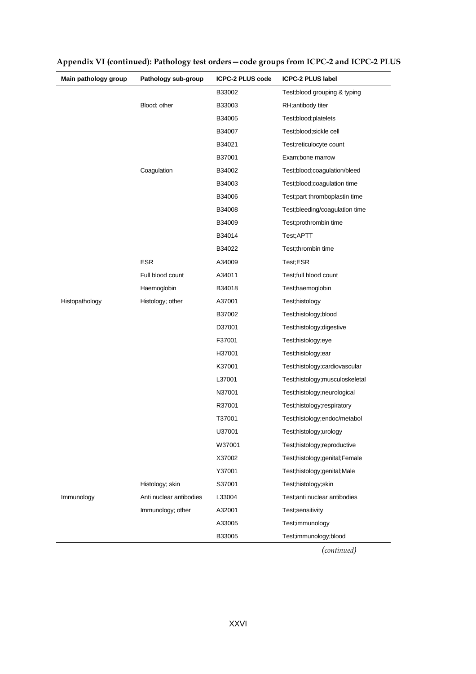| Main pathology group | Pathology sub-group     | <b>ICPC-2 PLUS code</b> | <b>ICPC-2 PLUS label</b>        |
|----------------------|-------------------------|-------------------------|---------------------------------|
|                      |                         | B33002                  | Test; blood grouping & typing   |
|                      | Blood; other            | B33003                  | RH;antibody titer               |
|                      |                         | B34005                  | Test;blood;platelets            |
|                      |                         | B34007                  | Test;blood;sickle cell          |
|                      |                         | B34021                  | Test;reticulocyte count         |
|                      |                         | B37001                  | Exam;bone marrow                |
|                      | Coagulation             | B34002                  | Test;blood;coagulation/bleed    |
|                      |                         | B34003                  | Test; blood; coagulation time   |
|                      |                         | B34006                  | Test; part thromboplastin time  |
|                      |                         | B34008                  | Test; bleeding/coagulation time |
|                      |                         | B34009                  | Test;prothrombin time           |
|                      |                         | B34014                  | Test;APTT                       |
|                      |                         | B34022                  | Test;thrombin time              |
|                      | <b>ESR</b>              | A34009                  | Test;ESR                        |
|                      | Full blood count        | A34011                  | Test;full blood count           |
|                      | Haemoglobin             | B34018                  | Test;haemoglobin                |
| Histopathology       | Histology; other        | A37001                  | Test;histology                  |
|                      |                         | B37002                  | Test;histology;blood            |
|                      |                         | D37001                  | Test;histology;digestive        |
|                      |                         | F37001                  | Test;histology;eye              |
|                      |                         | H37001                  | Test;histology;ear              |
|                      |                         | K37001                  | Test;histology;cardiovascular   |
|                      |                         | L37001                  | Test;histology;musculoskeletal  |
|                      |                         | N37001                  | Test;histology;neurological     |
|                      |                         | R37001                  | Test;histology;respiratory      |
|                      |                         | T37001                  | Test;histology;endoc/metabol    |
|                      |                         | U37001                  | Test;histology;urology          |
|                      |                         | W37001                  | Test;histology;reproductive     |
|                      |                         | X37002                  | Test;histology;genital;Female   |
|                      |                         | Y37001                  | Test;histology;genital;Male     |
|                      | Histology; skin         | S37001                  | Test;histology;skin             |
| Immunology           | Anti nuclear antibodies | L33004                  | Test; anti nuclear antibodies   |
|                      | Immunology; other       | A32001                  | Test;sensitivity                |
|                      |                         | A33005                  | Test;immunology                 |
|                      |                         | B33005                  | Test;immunology;blood           |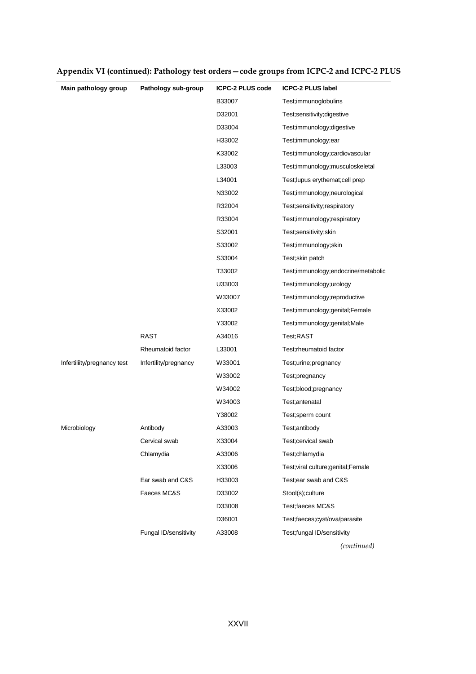| Main pathology group        | Pathology sub-group   | <b>ICPC-2 PLUS code</b> | <b>ICPC-2 PLUS label</b>             |
|-----------------------------|-----------------------|-------------------------|--------------------------------------|
|                             |                       | B33007                  | Test;immunoglobulins                 |
|                             |                       | D32001                  | Test;sensitivity;digestive           |
|                             |                       | D33004                  | Test;immunology;digestive            |
|                             |                       | H33002                  | Test;immunology;ear                  |
|                             |                       | K33002                  | Test;immunology;cardiovascular       |
|                             |                       | L33003                  | Test;immunology;musculoskeletal      |
|                             |                       | L34001                  | Test; lupus erythemat; cell prep     |
|                             |                       | N33002                  | Test;immunology;neurological         |
|                             |                       | R32004                  | Test;sensitivity;respiratory         |
|                             |                       | R33004                  | Test;immunology;respiratory          |
|                             |                       | S32001                  | Test;sensitivity;skin                |
|                             |                       | S33002                  | Test;immunology;skin                 |
|                             |                       | S33004                  | Test;skin patch                      |
|                             |                       | T33002                  | Test;immunology;endocrine/metabolic  |
|                             |                       | U33003                  | Test;immunology;urology              |
|                             |                       | W33007                  | Test;immunology;reproductive         |
|                             |                       | X33002                  | Test;immunology;genital;Female       |
|                             |                       | Y33002                  | Test;immunology;genital;Male         |
|                             | <b>RAST</b>           | A34016                  | Test;RAST                            |
|                             | Rheumatoid factor     | L33001                  | Test;rheumatoid factor               |
| Infertiliity/pregnancy test | Infertility/pregnancy | W33001                  | Test;urine;pregnancy                 |
|                             |                       | W33002                  | Test;pregnancy                       |
|                             |                       | W34002                  | Test;blood;pregnancy                 |
|                             |                       | W34003                  | Test;antenatal                       |
|                             |                       | Y38002                  | Test;sperm count                     |
| Microbiology                | Antibody              | A33003                  | Test;antibody                        |
|                             | Cervical swab         | X33004                  | Test;cervical swab                   |
|                             | Chlamydia             | A33006                  | Test;chlamydia                       |
|                             |                       | X33006                  | Test; viral culture; genital; Female |
|                             | Ear swab and C&S      | H33003                  | Test; ear swab and C&S               |
|                             | Faeces MC&S           | D33002                  | Stool(s);culture                     |
|                             |                       | D33008                  | Test;faeces MC&S                     |
|                             |                       | D36001                  | Test;faeces;cyst/ova/parasite        |
|                             | Fungal ID/sensitivity | A33008                  | Test;fungal ID/sensitivity           |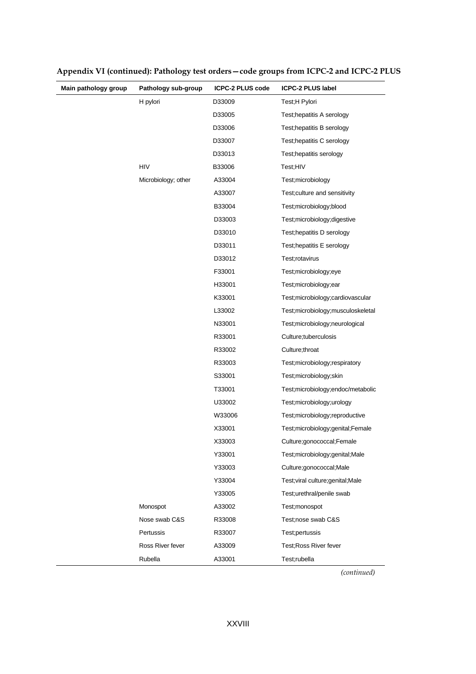| Main pathology group | Pathology sub-group | <b>ICPC-2 PLUS code</b> | <b>ICPC-2 PLUS label</b>            |
|----------------------|---------------------|-------------------------|-------------------------------------|
|                      | H pylori            | D33009                  | Test;H Pylori                       |
|                      |                     | D33005                  | Test; hepatitis A serology          |
|                      |                     | D33006                  | Test; hepatitis B serology          |
|                      |                     | D33007                  | Test; hepatitis C serology          |
|                      |                     | D33013                  | Test; hepatitis serology            |
|                      | <b>HIV</b>          | B33006                  | Test:HIV                            |
|                      | Microbiology; other | A33004                  | Test; microbiology                  |
|                      |                     | A33007                  | Test; culture and sensitivity       |
|                      |                     | B33004                  | Test;microbiology;blood             |
|                      |                     | D33003                  | Test; microbiology; digestive       |
|                      |                     | D33010                  | Test; hepatitis D serology          |
|                      |                     | D33011                  | Test; hepatitis E serology          |
|                      |                     | D33012                  | Test;rotavirus                      |
|                      |                     | F33001                  | Test;microbiology;eye               |
|                      |                     | H33001                  | Test;microbiology;ear               |
|                      |                     | K33001                  | Test;microbiology;cardiovascular    |
|                      |                     | L33002                  | Test;microbiology;musculoskeletal   |
|                      |                     | N33001                  | Test; microbiology; neurological    |
|                      |                     | R33001                  | Culture; tuberculosis               |
|                      |                     | R33002                  | Culture; throat                     |
|                      |                     | R33003                  | Test; microbiology; respiratory     |
|                      |                     | S33001                  | Test;microbiology;skin              |
|                      |                     | T33001                  | Test; microbiology; endoc/metabolic |
|                      |                     | U33002                  | Test;microbiology;urology           |
|                      |                     | W33006                  | Test;microbiology;reproductive      |
|                      |                     | X33001                  | Test;microbiology;genital;Female    |
|                      |                     | X33003                  | Culture;gonococcal;Female           |
|                      |                     | Y33001                  | Test;microbiology;genital;Male      |
|                      |                     | Y33003                  | Culture;gonococcal;Male             |
|                      |                     | Y33004                  | Test; viral culture; genital; Male  |
|                      |                     | Y33005                  | Test;urethral/penile swab           |
|                      | Monospot            | A33002                  | Test;monospot                       |
|                      | Nose swab C&S       | R33008                  | Test;nose swab C&S                  |
|                      | Pertussis           | R33007                  | Test;pertussis                      |
|                      | Ross River fever    | A33009                  | Test; Ross River fever              |
|                      | Rubella             | A33001                  | Test;rubella                        |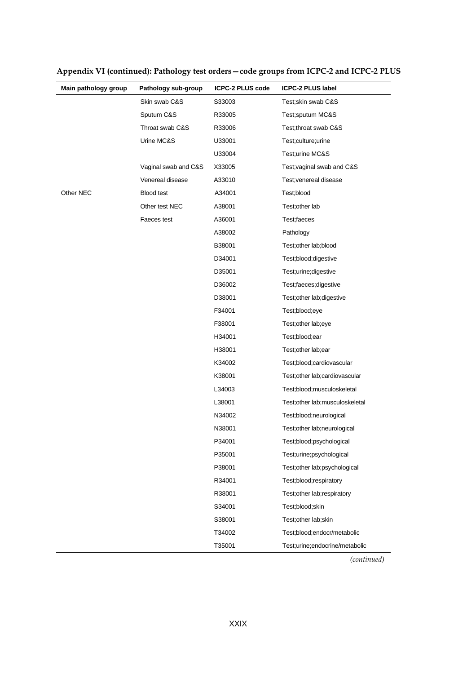| Main pathology group | Pathology sub-group  | <b>ICPC-2 PLUS code</b> | <b>ICPC-2 PLUS label</b>        |
|----------------------|----------------------|-------------------------|---------------------------------|
|                      | Skin swab C&S        | S33003                  | Test; skin swab C&S             |
|                      | Sputum C&S           | R33005                  | Test;sputum MC&S                |
|                      | Throat swab C&S      | R33006                  | Test;throat swab C&S            |
|                      | Urine MC&S           | U33001                  | Test;culture;urine              |
|                      |                      | U33004                  | Test;urine MC&S                 |
|                      | Vaginal swab and C&S | X33005                  | Test; vaginal swab and C&S      |
|                      | Venereal disease     | A33010                  | Test; venereal disease          |
| Other NEC            | <b>Blood test</b>    | A34001                  | Test;blood                      |
|                      | Other test NEC       | A38001                  | Test; other lab                 |
|                      | Faeces test          | A36001                  | Test;faeces                     |
|                      |                      | A38002                  | Pathology                       |
|                      |                      | B38001                  | Test; other lab; blood          |
|                      |                      | D34001                  | Test;blood;digestive            |
|                      |                      | D35001                  | Test;urine;digestive            |
|                      |                      | D36002                  | Test;faeces;digestive           |
|                      |                      | D38001                  | Test; other lab; digestive      |
|                      |                      | F34001                  | Test;blood;eye                  |
|                      |                      | F38001                  | Test; other lab; eye            |
|                      |                      | H34001                  | Test;blood;ear                  |
|                      |                      | H38001                  | Test; other lab; ear            |
|                      |                      | K34002                  | Test;blood;cardiovascular       |
|                      |                      | K38001                  | Test; other lab; cardiovascular |
|                      |                      | L34003                  | Test;blood;musculoskeletal      |
|                      |                      | L38001                  | Test;other lab;musculoskeletal  |
|                      |                      | N34002                  | Test;blood;neurological         |
|                      |                      | N38001                  | Test; other lab; neurological   |
|                      |                      | P34001                  | Test;blood;psychological        |
|                      |                      | P35001                  | Test;urine;psychological        |
|                      |                      | P38001                  | Test; other lab; psychological  |
|                      |                      | R34001                  | Test;blood;respiratory          |
|                      |                      | R38001                  | Test; other lab; respiratory    |
|                      |                      | S34001                  | Test;blood;skin                 |
|                      |                      | S38001                  | Test;other lab;skin             |
|                      |                      | T34002                  | Test;blood;endocr/metabolic     |
|                      |                      | T35001                  | Test;urine;endocrine/metabolic  |

**Appendix VI (continued): Pathology test orders—code groups from ICPC-2 and ICPC-2 PLUS**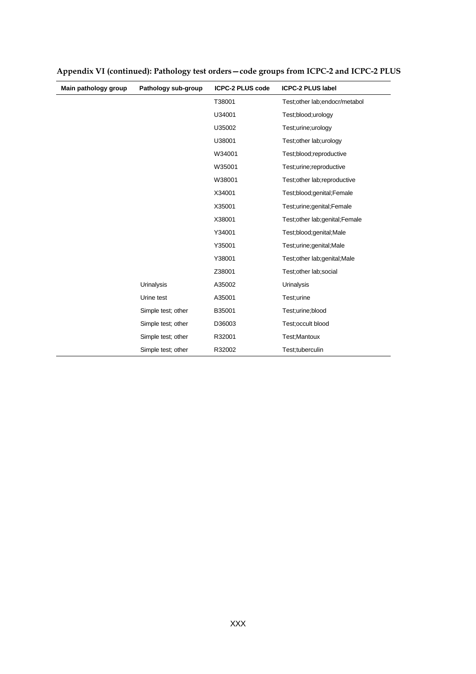| Main pathology group | Pathology sub-group | <b>ICPC-2 PLUS code</b> | <b>ICPC-2 PLUS label</b>        |
|----------------------|---------------------|-------------------------|---------------------------------|
|                      |                     | T38001                  | Test; other lab; endocr/metabol |
|                      |                     | U34001                  | Test;blood;urology              |
|                      |                     | U35002                  | Test;urine;urology              |
|                      |                     | U38001                  | Test; other lab; urology        |
|                      |                     | W34001                  | Test;blood;reproductive         |
|                      |                     | W35001                  | Test;urine;reproductive         |
|                      |                     | W38001                  | Test; other lab; reproductive   |
|                      |                     | X34001                  | Test;blood;genital;Female       |
|                      |                     | X35001                  | Test;urine;genital;Female       |
|                      |                     | X38001                  | Test;other lab;genital;Female   |
|                      |                     | Y34001                  | Test;blood;genital;Male         |
|                      |                     | Y35001                  | Test;urine;genital;Male         |
|                      |                     | Y38001                  | Test; other lab; genital; Male  |
|                      |                     | Z38001                  | Test; other lab; social         |
|                      | Urinalysis          | A35002                  | <b>Urinalysis</b>               |
|                      | Urine test          | A35001                  | Test:urine                      |
|                      | Simple test; other  | B35001                  | Test;urine;blood                |
|                      | Simple test; other  | D36003                  | Test;occult blood               |
|                      | Simple test; other  | R32001                  | Test; Mantoux                   |
|                      | Simple test; other  | R32002                  | Test;tuberculin                 |

**Appendix VI (continued): Pathology test orders—code groups from ICPC-2 and ICPC-2 PLUS**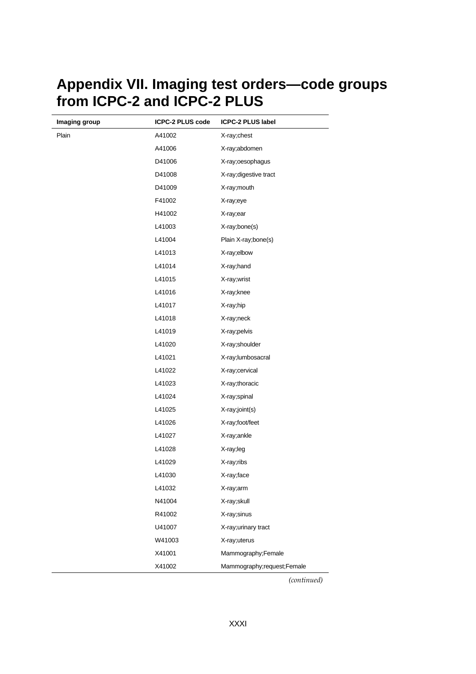### **Appendix VII. Imaging test orders—code groups from ICPC-2 and ICPC-2 PLUS**

| Imaging group | <b>ICPC-2 PLUS code</b> | <b>ICPC-2 PLUS label</b>   |
|---------------|-------------------------|----------------------------|
| Plain         | A41002                  | X-ray;chest                |
|               | A41006                  | X-ray;abdomen              |
|               | D41006                  | X-ray;oesophagus           |
|               | D41008                  | X-ray; digestive tract     |
|               | D41009                  | X-ray; mouth               |
|               | F41002                  | X-ray;eye                  |
|               | H41002                  | X-ray;ear                  |
|               | L41003                  | X-ray;bone(s)              |
|               | L41004                  | Plain X-ray;bone(s)        |
|               | L41013                  | X-ray;elbow                |
|               | L41014                  | X-ray; hand                |
|               | L41015                  | X-ray;wrist                |
|               | L41016                  | X-ray;knee                 |
|               | L41017                  | X-ray;hip                  |
|               | L41018                  | X-ray;neck                 |
|               | L41019                  | X-ray;pelvis               |
|               | L41020                  | X-ray;shoulder             |
|               | L41021                  | X-ray;lumbosacral          |
|               | L41022                  | X-ray;cervical             |
|               | L41023                  | X-ray;thoracic             |
|               | L41024                  | X-ray;spinal               |
|               | L41025                  | X-ray;joint(s)             |
|               | L41026                  | X-ray;foot/feet            |
|               | L41027                  | X-ray;ankle                |
|               | L41028                  | X-ray;leg                  |
|               | L41029                  | X-ray;ribs                 |
|               | L41030                  | X-ray;face                 |
|               | L41032                  | X-ray;arm                  |
|               | N41004                  | X-ray;skull                |
|               | R41002                  | X-ray; sinus               |
|               | U41007                  | X-ray; urinary tract       |
|               | W41003                  | X-ray;uterus               |
|               | X41001                  | Mammography;Female         |
|               | X41002                  | Mammography;request;Female |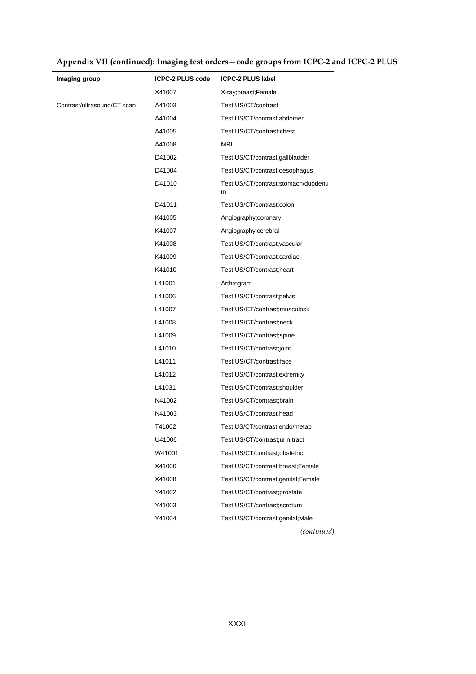| Imaging group               | <b>ICPC-2 PLUS code</b> | <b>ICPC-2 PLUS label</b>                 |
|-----------------------------|-------------------------|------------------------------------------|
|                             | X41007                  | X-ray;breast;Female                      |
| Contrast/ultrasound/CT scan | A41003                  | Test;US/CT/contrast                      |
|                             | A41004                  | Test;US/CT/contrast;abdomen              |
|                             | A41005                  | Test;US/CT/contrast;chest                |
|                             | A41008                  | <b>MRI</b>                               |
|                             | D41002                  | Test;US/CT/contrast;gallbladder          |
|                             | D41004                  | Test;US/CT/contrast;oesophagus           |
|                             | D41010                  | Test;US/CT/contrast;stomach/duodenu<br>m |
|                             | D41011                  | Test;US/CT/contrast;colon                |
|                             | K41005                  | Angiography; coronary                    |
|                             | K41007                  | Angiography; cerebral                    |
|                             | K41008                  | Test;US/CT/contrast;vascular             |
|                             | K41009                  | Test;US/CT/contrast;cardiac              |
|                             | K41010                  | Test;US/CT/contrast;heart                |
|                             | L41001                  | Arthrogram                               |
|                             | L41006                  | Test;US/CT/contrast;pelvis               |
|                             | L41007                  | Test;US/CT/contrast;musculosk            |
|                             | L41008                  | Test; US/CT/contrast; neck               |
|                             | L41009                  | Test;US/CT/contrast;spine                |
|                             | L41010                  | Test;US/CT/contrast;joint                |
|                             | L41011                  | Test;US/CT/contrast;face                 |
|                             | L41012                  | Test;US/CT/contrast;extremity            |
|                             | L41031                  | Test:US/CT/contrast:shoulder             |
|                             | N41002                  | Test;US/CT/contrast;brain                |
|                             | N41003                  | Test;US/CT/contrast;head                 |
|                             | T41002                  | Test;US/CT/contrast;endo/metab           |
|                             | U41006                  | Test; US/CT/contrast; urin tract         |
|                             | W41001                  | Test;US/CT/contrast;obstetric            |
|                             | X41006                  | Test;US/CT/contrast;breast;Female        |
|                             | X41008                  | Test;US/CT/contrast;genital;Female       |
|                             | Y41002                  | Test;US/CT/contrast;prostate             |
|                             | Y41003                  | Test; US/CT/contrast; scrotum            |
|                             | Y41004                  | Test;US/CT/contrast;genital;Male         |
|                             |                         | (continued)                              |